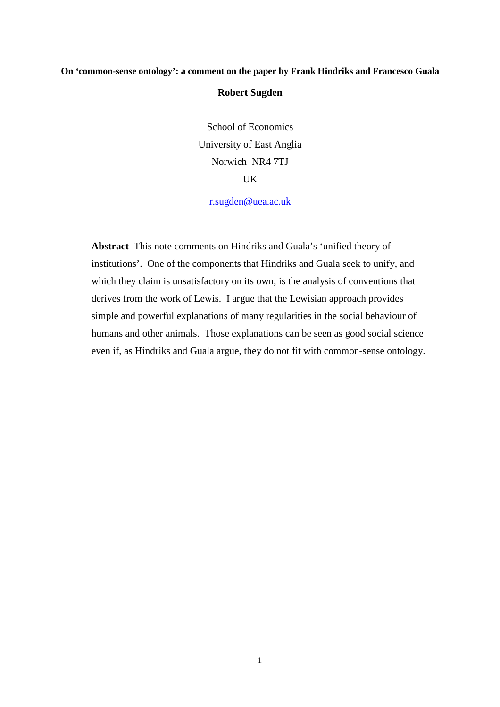## **On 'common-sense ontology': a comment on the paper by Frank Hindriks and Francesco Guala**

## **Robert Sugden**

School of Economics University of East Anglia Norwich NR4 7TJ UK

## r.sugden@uea.ac.uk

**Abstract** This note comments on Hindriks and Guala's 'unified theory of institutions'. One of the components that Hindriks and Guala seek to unify, and which they claim is unsatisfactory on its own, is the analysis of conventions that derives from the work of Lewis. I argue that the Lewisian approach provides simple and powerful explanations of many regularities in the social behaviour of humans and other animals. Those explanations can be seen as good social science even if, as Hindriks and Guala argue, they do not fit with common-sense ontology.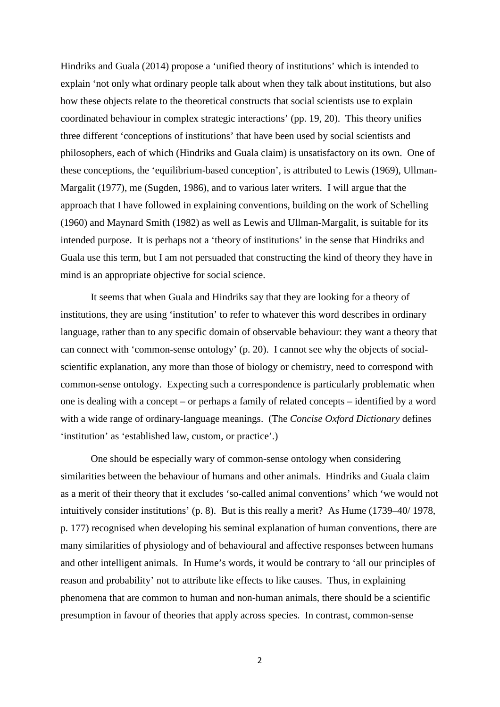Hindriks and Guala (2014) propose a 'unified theory of institutions' which is intended to explain 'not only what ordinary people talk about when they talk about institutions, but also how these objects relate to the theoretical constructs that social scientists use to explain coordinated behaviour in complex strategic interactions' (pp. 19, 20). This theory unifies three different 'conceptions of institutions' that have been used by social scientists and philosophers, each of which (Hindriks and Guala claim) is unsatisfactory on its own. One of these conceptions, the 'equilibrium-based conception', is attributed to Lewis (1969), Ullman-Margalit (1977), me (Sugden, 1986), and to various later writers. I will argue that the approach that I have followed in explaining conventions, building on the work of Schelling (1960) and Maynard Smith (1982) as well as Lewis and Ullman-Margalit, is suitable for its intended purpose. It is perhaps not a 'theory of institutions' in the sense that Hindriks and Guala use this term, but I am not persuaded that constructing the kind of theory they have in mind is an appropriate objective for social science.

 It seems that when Guala and Hindriks say that they are looking for a theory of institutions, they are using 'institution' to refer to whatever this word describes in ordinary language, rather than to any specific domain of observable behaviour: they want a theory that can connect with 'common-sense ontology' (p. 20). I cannot see why the objects of socialscientific explanation, any more than those of biology or chemistry, need to correspond with common-sense ontology. Expecting such a correspondence is particularly problematic when one is dealing with a concept – or perhaps a family of related concepts – identified by a word with a wide range of ordinary-language meanings. (The *Concise Oxford Dictionary* defines 'institution' as 'established law, custom, or practice'.)

 One should be especially wary of common-sense ontology when considering similarities between the behaviour of humans and other animals. Hindriks and Guala claim as a merit of their theory that it excludes 'so-called animal conventions' which 'we would not intuitively consider institutions' (p. 8). But is this really a merit? As Hume (1739–40/ 1978, p. 177) recognised when developing his seminal explanation of human conventions, there are many similarities of physiology and of behavioural and affective responses between humans and other intelligent animals. In Hume's words, it would be contrary to 'all our principles of reason and probability' not to attribute like effects to like causes. Thus, in explaining phenomena that are common to human and non-human animals, there should be a scientific presumption in favour of theories that apply across species. In contrast, common-sense

2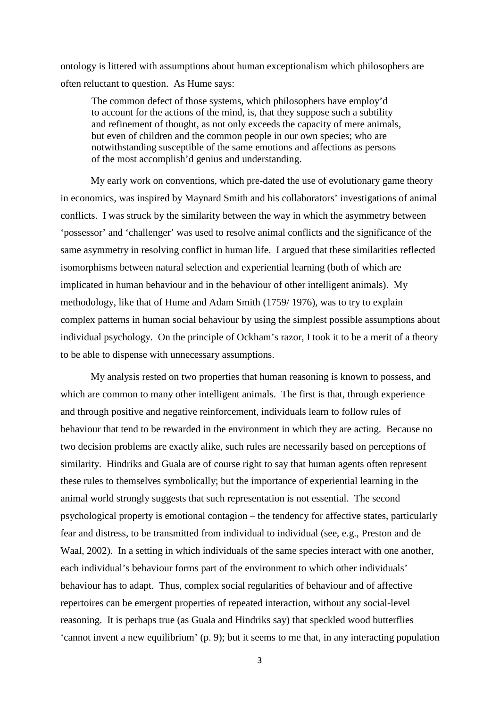ontology is littered with assumptions about human exceptionalism which philosophers are often reluctant to question. As Hume says:

The common defect of those systems, which philosophers have employ'd to account for the actions of the mind, is, that they suppose such a subtility and refinement of thought, as not only exceeds the capacity of mere animals, but even of children and the common people in our own species; who are notwithstanding susceptible of the same emotions and affections as persons of the most accomplish'd genius and understanding.

 My early work on conventions, which pre-dated the use of evolutionary game theory in economics, was inspired by Maynard Smith and his collaborators' investigations of animal conflicts. I was struck by the similarity between the way in which the asymmetry between 'possessor' and 'challenger' was used to resolve animal conflicts and the significance of the same asymmetry in resolving conflict in human life. I argued that these similarities reflected isomorphisms between natural selection and experiential learning (both of which are implicated in human behaviour and in the behaviour of other intelligent animals). My methodology, like that of Hume and Adam Smith (1759/ 1976), was to try to explain complex patterns in human social behaviour by using the simplest possible assumptions about individual psychology. On the principle of Ockham's razor, I took it to be a merit of a theory to be able to dispense with unnecessary assumptions.

 My analysis rested on two properties that human reasoning is known to possess, and which are common to many other intelligent animals. The first is that, through experience and through positive and negative reinforcement, individuals learn to follow rules of behaviour that tend to be rewarded in the environment in which they are acting. Because no two decision problems are exactly alike, such rules are necessarily based on perceptions of similarity. Hindriks and Guala are of course right to say that human agents often represent these rules to themselves symbolically; but the importance of experiential learning in the animal world strongly suggests that such representation is not essential. The second psychological property is emotional contagion – the tendency for affective states, particularly fear and distress, to be transmitted from individual to individual (see, e.g., Preston and de Waal, 2002). In a setting in which individuals of the same species interact with one another, each individual's behaviour forms part of the environment to which other individuals' behaviour has to adapt. Thus, complex social regularities of behaviour and of affective repertoires can be emergent properties of repeated interaction, without any social-level reasoning. It is perhaps true (as Guala and Hindriks say) that speckled wood butterflies 'cannot invent a new equilibrium' (p. 9); but it seems to me that, in any interacting population

3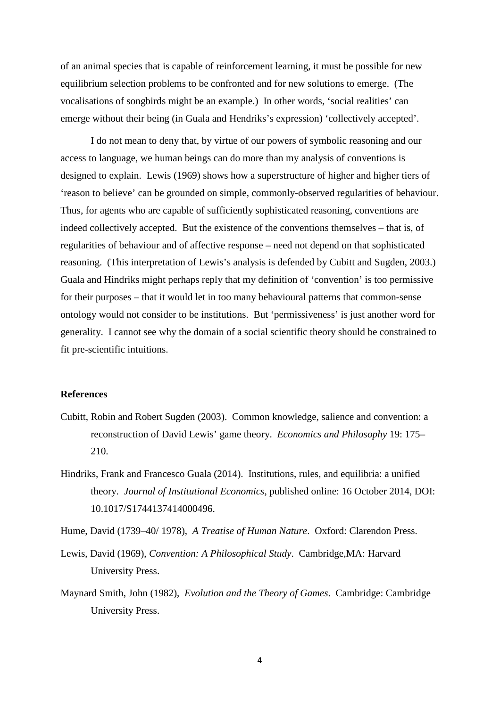of an animal species that is capable of reinforcement learning, it must be possible for new equilibrium selection problems to be confronted and for new solutions to emerge. (The vocalisations of songbirds might be an example.) In other words, 'social realities' can emerge without their being (in Guala and Hendriks's expression) 'collectively accepted'.

 I do not mean to deny that, by virtue of our powers of symbolic reasoning and our access to language, we human beings can do more than my analysis of conventions is designed to explain. Lewis (1969) shows how a superstructure of higher and higher tiers of 'reason to believe' can be grounded on simple, commonly-observed regularities of behaviour. Thus, for agents who are capable of sufficiently sophisticated reasoning, conventions are indeed collectively accepted. But the existence of the conventions themselves – that is, of regularities of behaviour and of affective response – need not depend on that sophisticated reasoning. (This interpretation of Lewis's analysis is defended by Cubitt and Sugden, 2003.) Guala and Hindriks might perhaps reply that my definition of 'convention' is too permissive for their purposes – that it would let in too many behavioural patterns that common-sense ontology would not consider to be institutions. But 'permissiveness' is just another word for generality. I cannot see why the domain of a social scientific theory should be constrained to fit pre-scientific intuitions.

## **References**

- Cubitt, Robin and Robert Sugden (2003). Common knowledge, salience and convention: a reconstruction of David Lewis' game theory. *Economics and Philosophy* 19: 175– 210.
- Hindriks, Frank and Francesco Guala (2014). Institutions, rules, and equilibria: a unified theory. *Journal of Institutional Economics*, published online: 16 October 2014, DOI: 10.1017/S1744137414000496.
- Hume, David (1739–40/ 1978), *A Treatise of Human Nature*. Oxford: Clarendon Press.
- Lewis, David (1969), *Convention: A Philosophical Study*. Cambridge,MA: Harvard University Press.
- Maynard Smith, John (1982), *Evolution and the Theory of Games*. Cambridge: Cambridge University Press.